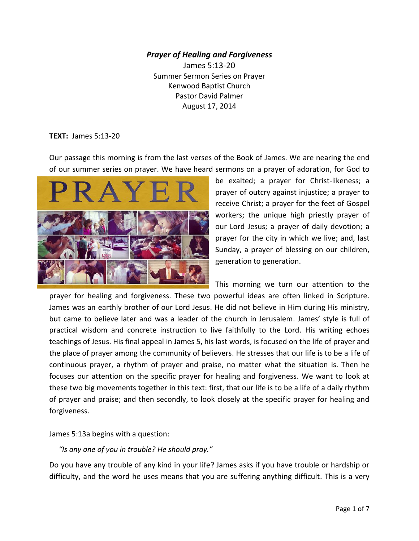## *Prayer of Healing and Forgiveness*

James 5:13-20 Summer Sermon Series on Prayer Kenwood Baptist Church Pastor David Palmer August 17, 2014

#### **TEXT:** James 5:13-20

Our passage this morning is from the last verses of the Book of James. We are nearing the end of our summer series on prayer. We have heard sermons on a prayer of adoration, for God to



be exalted; a prayer for Christ-likeness; a prayer of outcry against injustice; a prayer to receive Christ; a prayer for the feet of Gospel workers; the unique high priestly prayer of our Lord Jesus; a prayer of daily devotion; a prayer for the city in which we live; and, last Sunday, a prayer of blessing on our children, generation to generation.

This morning we turn our attention to the prayer for healing and forgiveness. These two powerful ideas are often linked in Scripture. James was an earthly brother of our Lord Jesus. He did not believe in Him during His ministry, but came to believe later and was a leader of the church in Jerusalem. James' style is full of practical wisdom and concrete instruction to live faithfully to the Lord. His writing echoes teachings of Jesus. His final appeal in James 5, his last words, is focused on the life of prayer and the place of prayer among the community of believers. He stresses that our life is to be a life of continuous prayer, a rhythm of prayer and praise, no matter what the situation is. Then he focuses our attention on the specific prayer for healing and forgiveness. We want to look at these two big movements together in this text: first, that our life is to be a life of a daily rhythm of prayer and praise; and then secondly, to look closely at the specific prayer for healing and forgiveness.

James 5:13a begins with a question:

## *"Is any one of you in trouble? He should pray."*

Do you have any trouble of any kind in your life? James asks if you have trouble or hardship or difficulty, and the word he uses means that you are suffering anything difficult. This is a very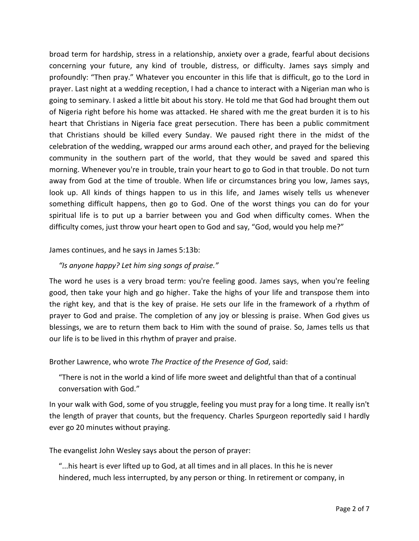broad term for hardship, stress in a relationship, anxiety over a grade, fearful about decisions concerning your future, any kind of trouble, distress, or difficulty. James says simply and profoundly: "Then pray." Whatever you encounter in this life that is difficult, go to the Lord in prayer. Last night at a wedding reception, I had a chance to interact with a Nigerian man who is going to seminary. I asked a little bit about his story. He told me that God had brought them out of Nigeria right before his home was attacked. He shared with me the great burden it is to his heart that Christians in Nigeria face great persecution. There has been a public commitment that Christians should be killed every Sunday. We paused right there in the midst of the celebration of the wedding, wrapped our arms around each other, and prayed for the believing community in the southern part of the world, that they would be saved and spared this morning. Whenever you're in trouble, train your heart to go to God in that trouble. Do not turn away from God at the time of trouble. When life or circumstances bring you low, James says, look up. All kinds of things happen to us in this life, and James wisely tells us whenever something difficult happens, then go to God. One of the worst things you can do for your spiritual life is to put up a barrier between you and God when difficulty comes. When the difficulty comes, just throw your heart open to God and say, "God, would you help me?"

## James continues, and he says in James 5:13b:

## *"Is anyone happy? Let him sing songs of praise."*

The word he uses is a very broad term: you're feeling good. James says, when you're feeling good, then take your high and go higher. Take the highs of your life and transpose them into the right key, and that is the key of praise. He sets our life in the framework of a rhythm of prayer to God and praise. The completion of any joy or blessing is praise. When God gives us blessings, we are to return them back to Him with the sound of praise. So, James tells us that our life is to be lived in this rhythm of prayer and praise.

#### Brother Lawrence, who wrote *The Practice of the Presence of God*, said:

 "There is not in the world a kind of life more sweet and delightful than that of a continual conversation with God."

In your walk with God, some of you struggle, feeling you must pray for a long time. It really isn't the length of prayer that counts, but the frequency. Charles Spurgeon reportedly said I hardly ever go 20 minutes without praying.

The evangelist John Wesley says about the person of prayer:

 "...his heart is ever lifted up to God, at all times and in all places. In this he is never hindered, much less interrupted, by any person or thing. In retirement or company, in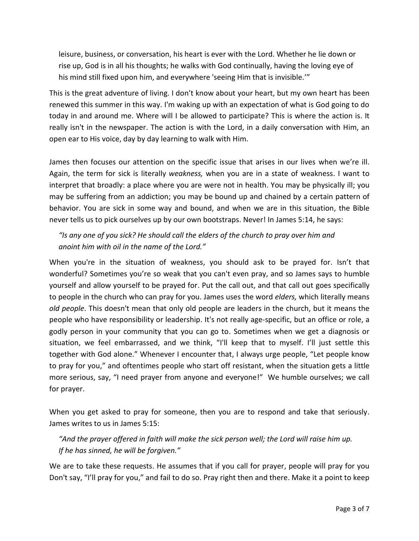leisure, business, or conversation, his heart is ever with the Lord. Whether he lie down or rise up, God is in all his thoughts; he walks with God continually, having the loving eye of his mind still fixed upon him, and everywhere 'seeing Him that is invisible.'"

This is the great adventure of living. I don't know about your heart, but my own heart has been renewed this summer in this way. I'm waking up with an expectation of what is God going to do today in and around me. Where will I be allowed to participate? This is where the action is. It really isn't in the newspaper. The action is with the Lord, in a daily conversation with Him, an open ear to His voice, day by day learning to walk with Him.

James then focuses our attention on the specific issue that arises in our lives when we're ill. Again, the term for sick is literally *weakness,* when you are in a state of weakness. I want to interpret that broadly: a place where you are were not in health. You may be physically ill; you may be suffering from an addiction; you may be bound up and chained by a certain pattern of behavior. You are sick in some way and bound, and when we are in this situation, the Bible never tells us to pick ourselves up by our own bootstraps. Never! In James 5:14, he says:

 *"Is any one of you sick? He should call the elders of the church to pray over him and anoint him with oil in the name of the Lord."*

When you're in the situation of weakness, you should ask to be prayed for. Isn't that wonderful? Sometimes you're so weak that you can't even pray, and so James says to humble yourself and allow yourself to be prayed for. Put the call out, and that call out goes specifically to people in the church who can pray for you. James uses the word *elders,* which literally means *old people*. This doesn't mean that only old people are leaders in the church, but it means the people who have responsibility or leadership. It's not really age-specific, but an office or role, a godly person in your community that you can go to. Sometimes when we get a diagnosis or situation, we feel embarrassed, and we think, "I'll keep that to myself. I'll just settle this together with God alone." Whenever I encounter that, I always urge people, "Let people know to pray for you," and oftentimes people who start off resistant, when the situation gets a little more serious, say, "I need prayer from anyone and everyone!" We humble ourselves; we call for prayer.

When you get asked to pray for someone, then you are to respond and take that seriously. James writes to us in James 5:15:

 *"And the prayer offered in faith will make the sick person well; the Lord will raise him up. If he has sinned, he will be forgiven."*

We are to take these requests. He assumes that if you call for prayer, people will pray for you Don't say, "I'll pray for you," and fail to do so. Pray right then and there. Make it a point to keep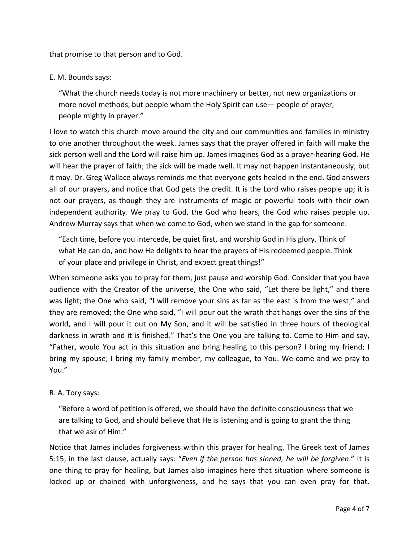that promise to that person and to God.

# E. M. Bounds says:

 "What the church needs today is not more machinery or better, not new organizations or more novel methods, but people whom the Holy Spirit can use— people of prayer, people mighty in prayer."

I love to watch this church move around the city and our communities and families in ministry to one another throughout the week. James says that the prayer offered in faith will make the sick person well and the Lord will raise him up. James imagines God as a prayer-hearing God. He will hear the prayer of faith; the sick will be made well. It may not happen instantaneously, but it may. Dr. Greg Wallace always reminds me that everyone gets healed in the end. God answers all of our prayers, and notice that God gets the credit. It is the Lord who raises people up; it is not our prayers, as though they are instruments of magic or powerful tools with their own independent authority. We pray to God, the God who hears, the God who raises people up. Andrew Murray says that when we come to God, when we stand in the gap for someone:

 "Each time, before you intercede, be quiet first, and worship God in His glory. Think of what He can do, and how He delights to hear the prayers of His redeemed people. Think of your place and privilege in Christ, and expect great things!"

When someone asks you to pray for them, just pause and worship God. Consider that you have audience with the Creator of the universe, the One who said, "Let there be light," and there was light; the One who said, "I will remove your sins as far as the east is from the west," and they are removed; the One who said, "I will pour out the wrath that hangs over the sins of the world, and I will pour it out on My Son, and it will be satisfied in three hours of theological darkness in wrath and it is finished." That's the One you are talking to. Come to Him and say, "Father, would You act in this situation and bring healing to this person? I bring my friend; I bring my spouse; I bring my family member, my colleague, to You. We come and we pray to You."

## R. A. Tory says:

 "Before a word of petition is offered, we should have the definite consciousness that we are talking to God, and should believe that He is listening and is going to grant the thing that we ask of Him."

Notice that James includes forgiveness within this prayer for healing. The Greek text of James 5:15, in the last clause, actually says: "*Even if the person has sinned, he will be forgiven*." It is one thing to pray for healing, but James also imagines here that situation where someone is locked up or chained with unforgiveness, and he says that you can even pray for that.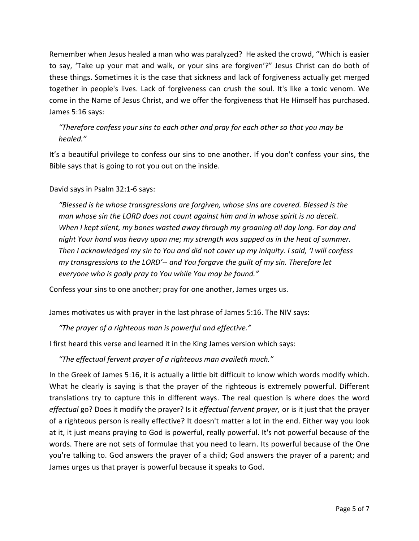Remember when Jesus healed a man who was paralyzed? He asked the crowd, "Which is easier to say, 'Take up your mat and walk, or your sins are forgiven'?" Jesus Christ can do both of these things. Sometimes it is the case that sickness and lack of forgiveness actually get merged together in people's lives. Lack of forgiveness can crush the soul. It's like a toxic venom. We come in the Name of Jesus Christ, and we offer the forgiveness that He Himself has purchased. James 5:16 says:

 *"Therefore confess your sins to each other and pray for each other so that you may be healed."*

It's a beautiful privilege to confess our sins to one another. If you don't confess your sins, the Bible says that is going to rot you out on the inside.

David says in Psalm 32:1-6 says:

 *"Blessed is he whose transgressions are forgiven, whose sins are covered. Blessed is the man whose sin the LORD does not count against him and in whose spirit is no deceit. When I kept silent, my bones wasted away through my groaning all day long. For day and night Your hand was heavy upon me; my strength was sapped as in the heat of summer. Then I acknowledged my sin to You and did not cover up my iniquity. I said, 'I will confess my transgressions to the LORD'-- and You forgave the guilt of my sin. Therefore let everyone who is godly pray to You while You may be found."* 

Confess your sins to one another; pray for one another, James urges us.

James motivates us with prayer in the last phrase of James 5:16. The NIV says:

*"The prayer of a righteous man is powerful and effective."*

I first heard this verse and learned it in the King James version which says:

*"The effectual fervent prayer of a righteous man availeth much."*

In the Greek of James 5:16, it is actually a little bit difficult to know which words modify which. What he clearly is saying is that the prayer of the righteous is extremely powerful. Different translations try to capture this in different ways. The real question is where does the word *effectual* go? Does it modify the prayer? Is it *effectual fervent prayer,* or is it just that the prayer of a righteous person is really effective? It doesn't matter a lot in the end. Either way you look at it, it just means praying to God is powerful, really powerful. It's not powerful because of the words. There are not sets of formulae that you need to learn. Its powerful because of the One you're talking to. God answers the prayer of a child; God answers the prayer of a parent; and James urges us that prayer is powerful because it speaks to God.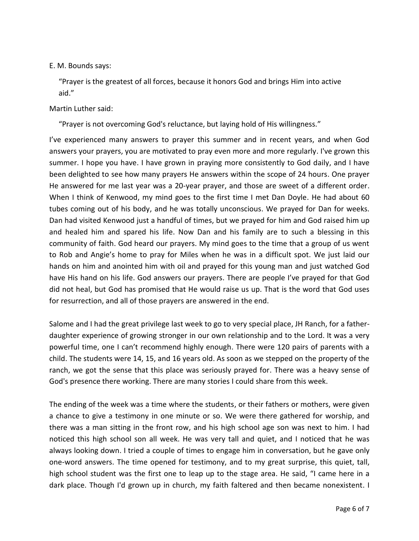### E. M. Bounds says:

 "Prayer is the greatest of all forces, because it honors God and brings Him into active aid."

### Martin Luther said:

"Prayer is not overcoming God's reluctance, but laying hold of His willingness."

I've experienced many answers to prayer this summer and in recent years, and when God answers your prayers, you are motivated to pray even more and more regularly. I've grown this summer. I hope you have. I have grown in praying more consistently to God daily, and I have been delighted to see how many prayers He answers within the scope of 24 hours. One prayer He answered for me last year was a 20-year prayer, and those are sweet of a different order. When I think of Kenwood, my mind goes to the first time I met Dan Doyle. He had about 60 tubes coming out of his body, and he was totally unconscious. We prayed for Dan for weeks. Dan had visited Kenwood just a handful of times, but we prayed for him and God raised him up and healed him and spared his life. Now Dan and his family are to such a blessing in this community of faith. God heard our prayers. My mind goes to the time that a group of us went to Rob and Angie's home to pray for Miles when he was in a difficult spot. We just laid our hands on him and anointed him with oil and prayed for this young man and just watched God have His hand on his life. God answers our prayers. There are people I've prayed for that God did not heal, but God has promised that He would raise us up. That is the word that God uses for resurrection, and all of those prayers are answered in the end.

Salome and I had the great privilege last week to go to very special place, JH Ranch, for a fatherdaughter experience of growing stronger in our own relationship and to the Lord. It was a very powerful time, one I can't recommend highly enough. There were 120 pairs of parents with a child. The students were 14, 15, and 16 years old. As soon as we stepped on the property of the ranch, we got the sense that this place was seriously prayed for. There was a heavy sense of God's presence there working. There are many stories I could share from this week.

The ending of the week was a time where the students, or their fathers or mothers, were given a chance to give a testimony in one minute or so. We were there gathered for worship, and there was a man sitting in the front row, and his high school age son was next to him. I had noticed this high school son all week. He was very tall and quiet, and I noticed that he was always looking down. I tried a couple of times to engage him in conversation, but he gave only one-word answers. The time opened for testimony, and to my great surprise, this quiet, tall, high school student was the first one to leap up to the stage area. He said, "I came here in a dark place. Though I'd grown up in church, my faith faltered and then became nonexistent. I